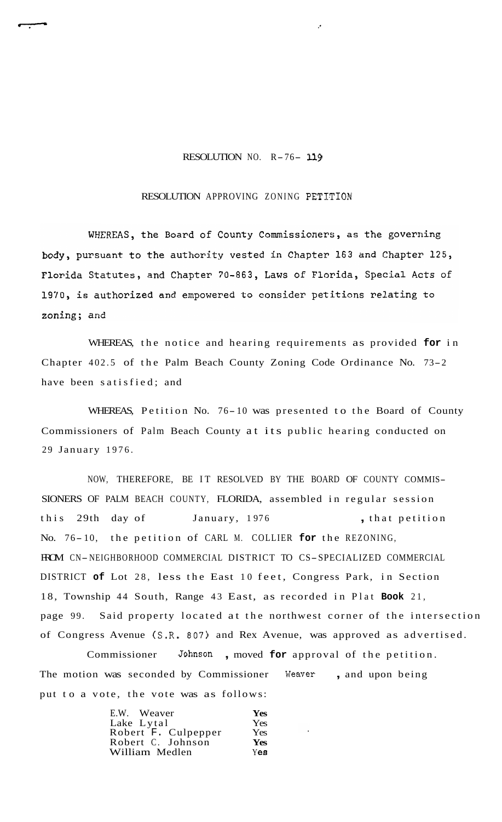## RESOLUTION NO. R-76- *<sup>119</sup>*

## RESOLUTION APPROVING ZONING PETITION

WHEREAS, the Board of County Commissioners, as the governing body, pursuant to the authority vested in Chapter 163 and Chapter 125, Florida Statutes, and Chapter 70-863, Laws of Florida, Special Acts of 1970, is authorized and empowered to consider petitions relating to zoning; and

WHEREAS, the notice and hearing requirements as provided **for** in Chapter 402.5 of the Palm Beach County Zoning Code Ordinance No. 73-2 have been satisfied; and

WHEREAS, Petition No. 76- 10 was presented to the Board of County Commissioners of Palm Beach County at its public hearing conducted on 29 January 1976.

NOW, THEREFORE, BE IT RESOLVED BY THE BOARD OF COUNTY COMMIS-SIONERS OF PALM BEACH COUNTY, FLORIDA, assembled in regular session this 29th day of January, 1976 , that petition No. 76- 10, the petition of CARL M. COLLIER **for** the REZONING, FROM CN-NEIGHBORHOOD COMMERCIAL DISTRICT TO CS-SPECIALIZED COMMERCIAL DISTRICT **of** Lot 28, less the East 10 feet, Congress Park, in Section 18, Township 44 South, Range 43 East, as recorded in Plat **Book** 21, page 99. Said property located at the northwest corner of the intersection of Congress Avenue (S.R. 807) and Rex Avenue, was approved as advertised.

Commissioner **Johnson** , moved **for** approval of the petition. The motion was seconded by Commissioner Weaver, and upon being put to a vote, the vote was as follows:

| E.W. Weaver         | <b>Yes</b> |
|---------------------|------------|
| Lake Lytal          | Yes.       |
| Robert F. Culpepper | Yes.       |
| Robert C. Johnson   | <b>Yes</b> |
| William Medlen      | Yes:       |
|                     |            |